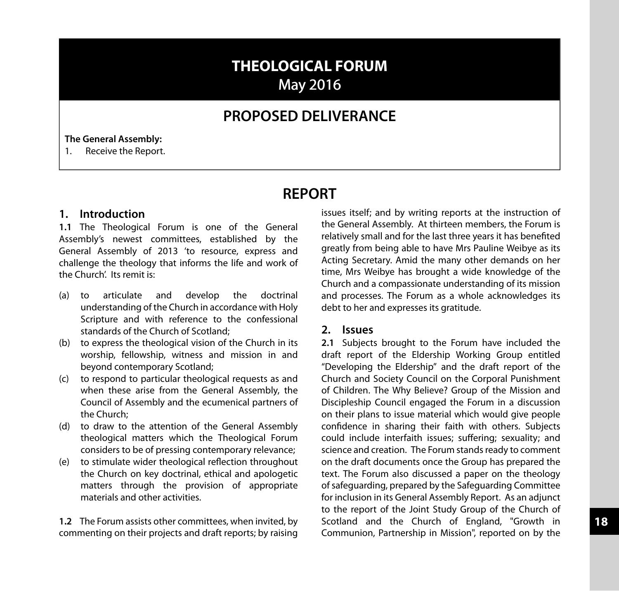# **THEOLOGICAL FORUM** May 2016

## **PROPOSED DELIVERANCE**

#### **The General Assembly:**

1. Receive the Report.

## **REPORT**

#### **1. Introduction**

**1.1** The Theological Forum is one of the General Assembly's newest committees, established by the General Assembly of 2013 'to resource, express and challenge the theology that informs the life and work of the Church'. Its remit is:

- (a) to articulate and develop the doctrinal understanding of the Church in accordance with Holy Scripture and with reference to the confessional standards of the Church of Scotland;
- (b) to express the theological vision of the Church in its worship, fellowship, witness and mission in and beyond contemporary Scotland;
- (c) to respond to particular theological requests as and when these arise from the General Assembly, the Council of Assembly and the ecumenical partners of the Church;
- (d) to draw to the attention of the General Assembly theological matters which the Theological Forum considers to be of pressing contemporary relevance;
- (e) to stimulate wider theological reflection throughout the Church on key doctrinal, ethical and apologetic matters through the provision of appropriate materials and other activities.

**1.2** The Forum assists other committees, when invited, by commenting on their projects and draft reports; by raising issues itself; and by writing reports at the instruction of the General Assembly. At thirteen members, the Forum is relatively small and for the last three years it has benefited greatly from being able to have Mrs Pauline Weibye as its Acting Secretary. Amid the many other demands on her time, Mrs Weibye has brought a wide knowledge of the Church and a compassionate understanding of its mission and processes. The Forum as a whole acknowledges its debt to her and expresses its gratitude.

#### **2. Issues**

**2.1** Subjects brought to the Forum have included the draft report of the Eldership Working Group entitled "Developing the Eldership" and the draft report of the Church and Society Council on the Corporal Punishment of Children. The Why Believe? Group of the Mission and Discipleship Council engaged the Forum in a discussion on their plans to issue material which would give people confidence in sharing their faith with others. Subjects could include interfaith issues; suffering; sexuality; and science and creation. The Forum stands ready to comment on the draft documents once the Group has prepared the text. The Forum also discussed a paper on the theology ofsafeguarding, prepared by the Safeguarding Committee for inclusion in its General Assembly Report. As an adjunct to the report of the Joint Study Group of the Church of Scotland and the Church of England, "Growth in Communion, Partnership in Mission", reported on by the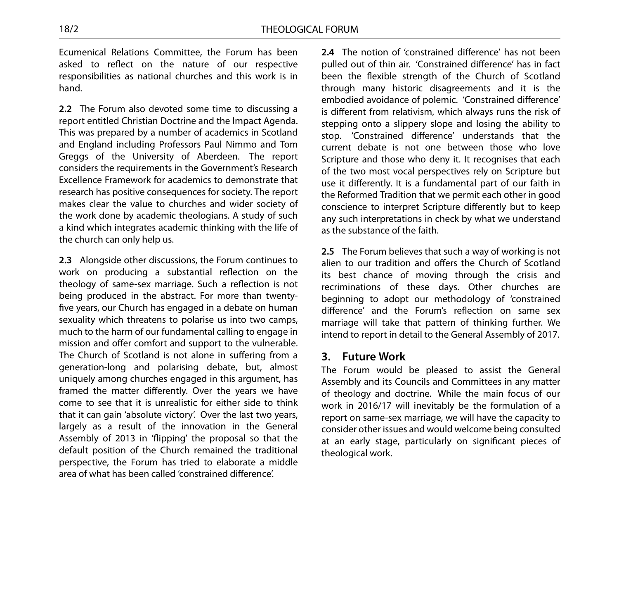Ecumenical Relations Committee, the Forum has been asked to reflect on the nature of our respective responsibilities as national churches and this work is in hand.

**2.2** The Forum also devoted some time to discussing a report entitled Christian Doctrine and the Impact Agenda. This was prepared by a number of academics in Scotland and England including Professors Paul Nimmo and Tom Greggs of the University of Aberdeen. The report considers the requirements in the Government's Research Excellence Framework for academics to demonstrate that research has positive consequences for society. The report makes clear the value to churches and wider society of the work done by academic theologians. A study of such a kind which integrates academic thinking with the life of the church can only help us.

**2.3** Alongside other discussions, the Forum continues to work on producing a substantial reflection on the theology of same-sex marriage. Such a reflection is not being produced in the abstract. For more than twentyfive years, our Church has engaged in a debate on human sexuality which threatens to polarise us into two camps, much to the harm of our fundamental calling to engage in mission and offer comfort and support to the vulnerable. The Church of Scotland is not alone in suffering from a generation-long and polarising debate, but, almost uniquely among churches engaged in this argument, has framed the matter differently. Over the years we have come to see that it is unrealistic for either side to think that it can gain 'absolute victory'. Over the last two years, largely as a result of the innovation in the General Assembly of 2013 in 'flipping' the proposal so that the default position of the Church remained the traditional perspective, the Forum has tried to elaborate a middle area of what has been called 'constrained difference'.

**2.4** The notion of 'constrained difference' has not been pulled out of thin air. 'Constrained difference' has in fact been the flexible strength of the Church of Scotland through many historic disagreements and it is the embodied avoidance of polemic. 'Constrained difference' is different from relativism, which always runs the risk of stepping onto a slippery slope and losing the ability to stop. 'Constrained difference' understands that the current debate is not one between those who love Scripture and those who deny it. It recognises that each of the two most vocal perspectives rely on Scripture but use it differently. It is a fundamental part of our faith in the Reformed Tradition that we permit each other in good conscience to interpret Scripture differently but to keep any such interpretations in check by what we understand as the substance of the faith.

**2.5** The Forum believes that such a way of working is not alien to our tradition and offers the Church of Scotland its best chance of moving through the crisis and recriminations of these days. Other churches are beginning to adopt our methodology of 'constrained difference' and the Forum's reflection on same sex marriage will take that pattern of thinking further. We intend to report in detail to the General Assembly of 2017.

### **3. Future Work**

The Forum would be pleased to assist the General Assembly and its Councils and Committees in any matter of theology and doctrine. While the main focus of our work in 2016/17 will inevitably be the formulation of a report on same-sex marriage, we will have the capacity to consider other issues and would welcome being consulted at an early stage, particularly on significant pieces of theological work.